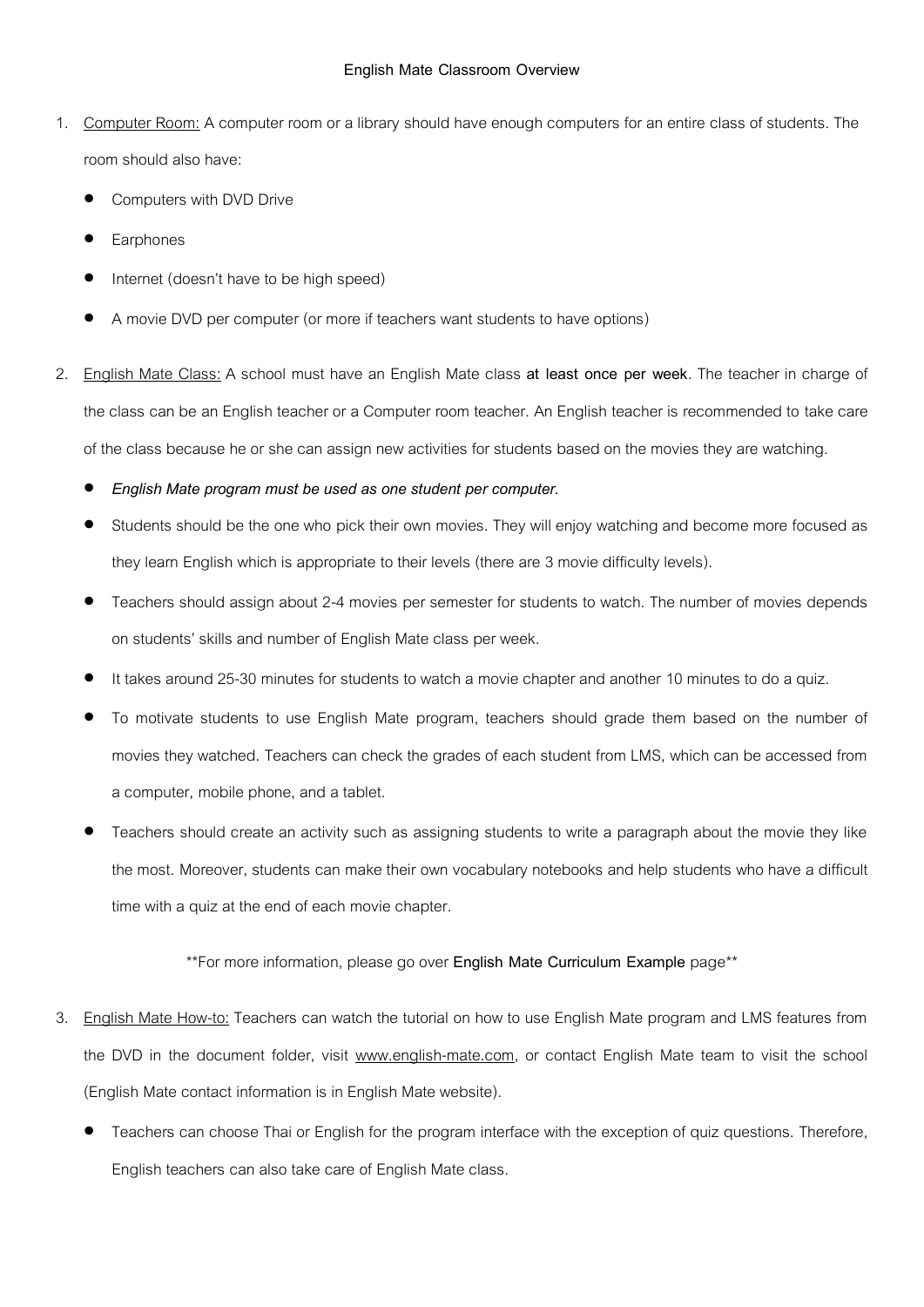- 1. Computer Room: A computer room or a library should have enough computers for an entire class of students. The room should also have:
	- Computers with DVD Drive
	- Earphones
	- Internet (doesn't have to be high speed)
	- A movie DVD per computer (or more if teachers want students to have options)
- 2. English Mate Class: A school must have an English Mate class **at least once per week**. The teacher in charge of the class can be an English teacher or a Computer room teacher. An English teacher is recommended to take care of the class because he or she can assign new activities for students based on the movies they are watching.
	- *English Mate program must be used as one student per computer.*
	- Students should be the one who pick their own movies. They will enjoy watching and become more focused as they learn English which is appropriate to their levels (there are 3 movie difficulty levels).
	- Teachers should assign about 2-4 movies per semester for students to watch. The number of movies depends on students' skills and number of English Mate class per week.
	- It takes around 25-30 minutes for students to watch a movie chapter and another 10 minutes to do a quiz.
	- To motivate students to use English Mate program, teachers should grade them based on the number of movies they watched. Teachers can check the grades of each student from LMS, which can be accessed from a computer, mobile phone, and a tablet.
	- Teachers should create an activity such as assigning students to write a paragraph about the movie they like the most. Moreover, students can make their own vocabulary notebooks and help students who have a difficult time with a quiz at the end of each movie chapter.

## \*\*For more information, please go over **English Mate Curriculum Example** page\*\*

- 3. English Mate How-to: Teachers can watch the tutorial on how to use English Mate program and LMS features from the DVD in the document folder, visit www.english-mate.com, or contact English Mate team to visit the school (English Mate contact information is in English Mate website).
	- Teachers can choose Thai or English for the program interface with the exception of quiz questions. Therefore, English teachers can also take care of English Mate class.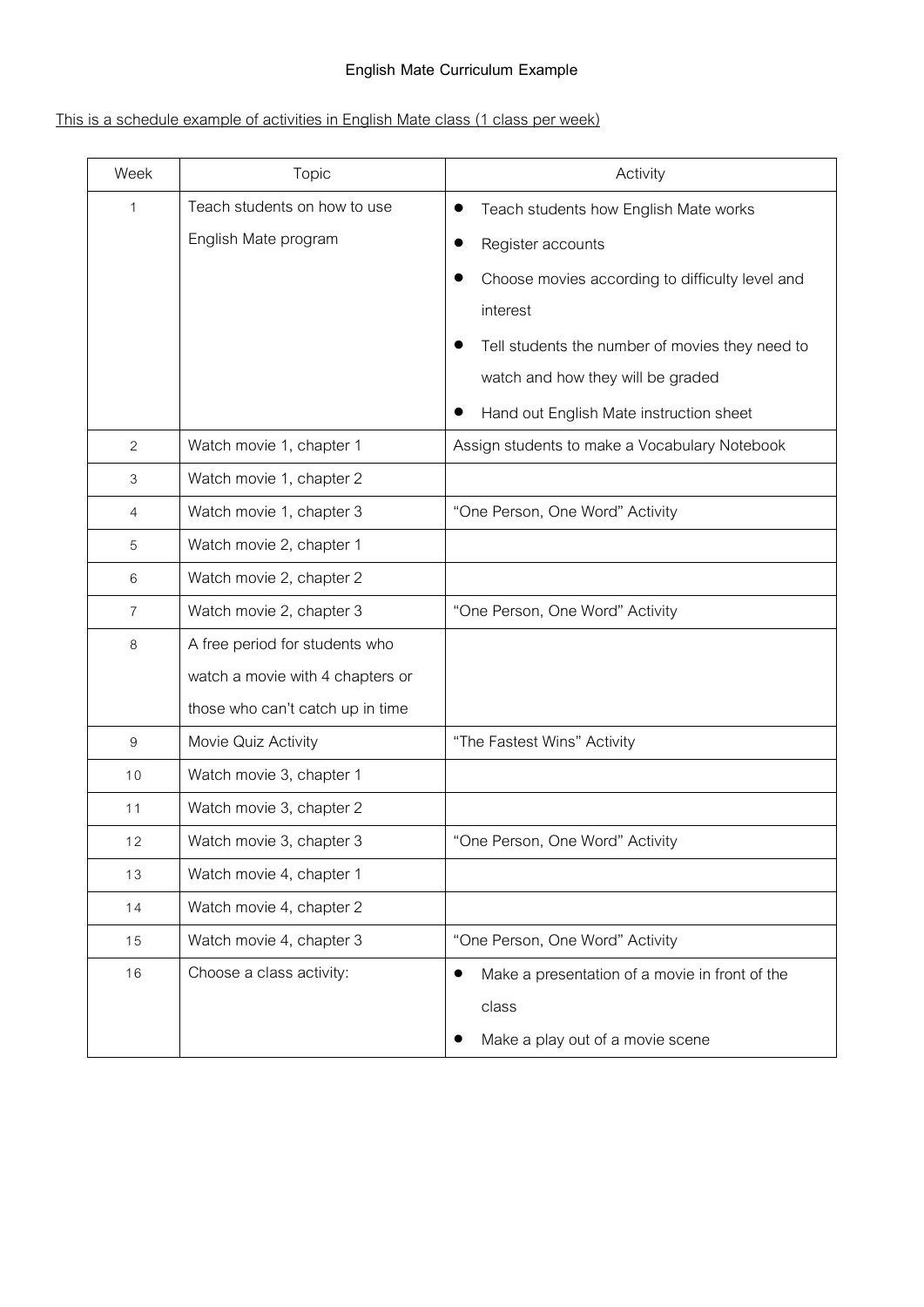# **English Mate Curriculum Example**

# This is a schedule example of activities in English Mate class (1 class per week)

| Week        | Topic                            | Activity                                        |
|-------------|----------------------------------|-------------------------------------------------|
| $\mathbf 1$ | Teach students on how to use     | Teach students how English Mate works           |
|             | English Mate program             | Register accounts                               |
|             |                                  | Choose movies according to difficulty level and |
|             |                                  | interest                                        |
|             |                                  | Tell students the number of movies they need to |
|             |                                  | watch and how they will be graded               |
|             |                                  | Hand out English Mate instruction sheet         |
| 2           | Watch movie 1, chapter 1         | Assign students to make a Vocabulary Notebook   |
| 3           | Watch movie 1, chapter 2         |                                                 |
| 4           | Watch movie 1, chapter 3         | "One Person, One Word" Activity                 |
| 5           | Watch movie 2, chapter 1         |                                                 |
| 6           | Watch movie 2, chapter 2         |                                                 |
| 7           | Watch movie 2, chapter 3         | "One Person, One Word" Activity                 |
| 8           | A free period for students who   |                                                 |
|             | watch a movie with 4 chapters or |                                                 |
|             | those who can't catch up in time |                                                 |
| 9           | Movie Quiz Activity              | "The Fastest Wins" Activity                     |
| 10          | Watch movie 3, chapter 1         |                                                 |
| 11          | Watch movie 3, chapter 2         |                                                 |
| 12          | Watch movie 3, chapter 3         | "One Person, One Word" Activity                 |
| 13          | Watch movie 4, chapter 1         |                                                 |
| 14          | Watch movie 4, chapter 2         |                                                 |
| 15          | Watch movie 4, chapter 3         | "One Person, One Word" Activity                 |
| 16          | Choose a class activity:         | Make a presentation of a movie in front of the  |
|             |                                  | class                                           |
|             |                                  | Make a play out of a movie scene                |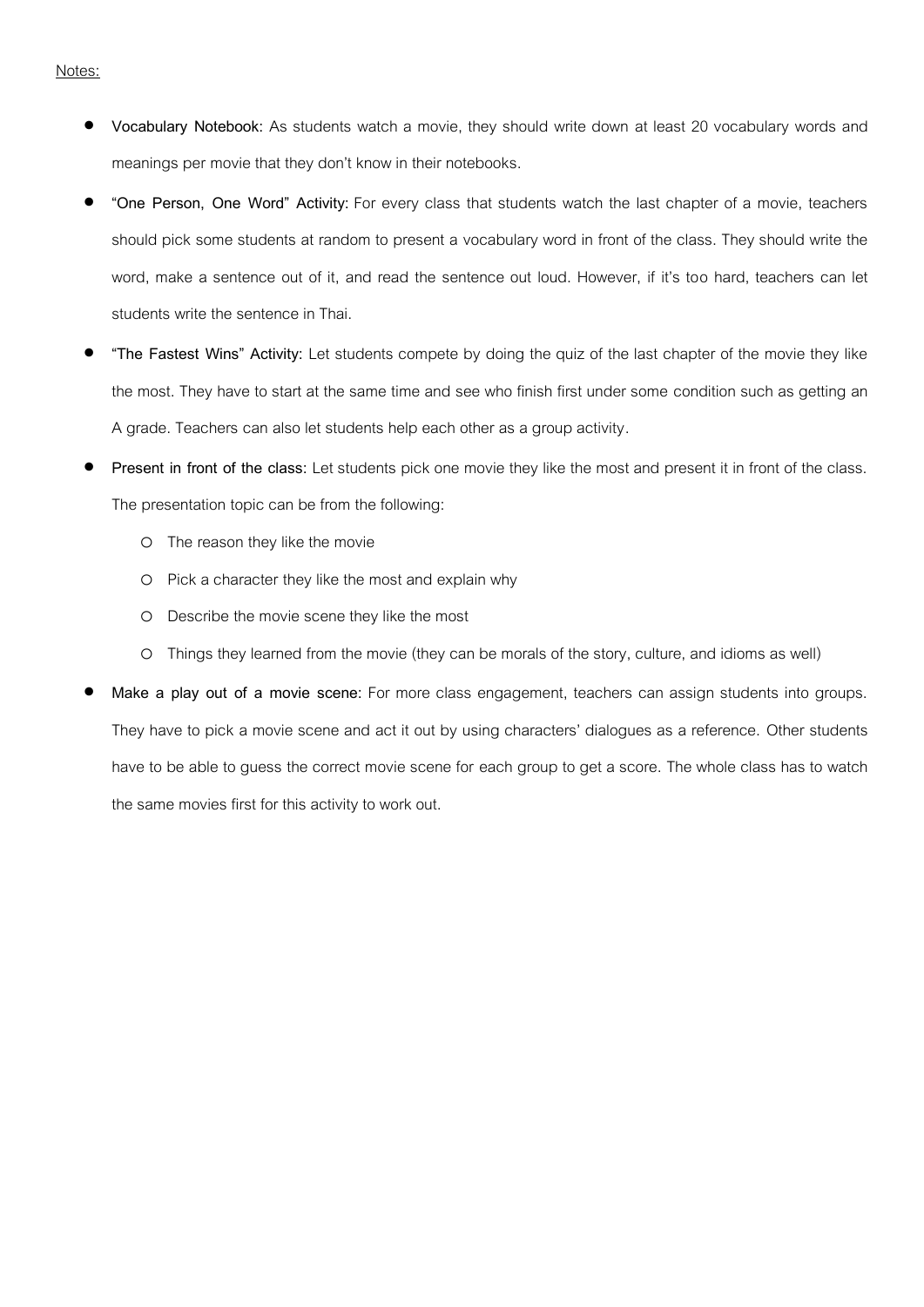- **Vocabulary Notebook:** As students watch a movie, they should write down at least 20 vocabulary words and meanings per movie that they don't know in their notebooks.
- **"One Person, One Word" Activity:** For every class that students watch the last chapter of a movie, teachers should pick some students at random to present a vocabulary word in front of the class. They should write the word, make a sentence out of it, and read the sentence out loud. However, if it's too hard, teachers can let students write the sentence in Thai.
- **"The Fastest Wins" Activity:** Let students compete by doing the quiz of the last chapter of the movie they like the most. They have to start at the same time and see who finish first under some condition such as getting an A grade. Teachers can also let students help each other as a group activity.
- **Present in front of the class:** Let students pick one movie they like the most and present it in front of the class. The presentation topic can be from the following:
	- o The reason they like the movie
	- o Pick a character they like the most and explain why
	- o Describe the movie scene they like the most
	- o Things they learned from the movie (they can be morals of the story, culture, and idioms as well)
- **Make a play out of a movie scene:** For more class engagement, teachers can assign students into groups. They have to pick a movie scene and act it out by using characters' dialogues as a reference. Other students have to be able to guess the correct movie scene for each group to get a score. The whole class has to watch the same movies first for this activity to work out.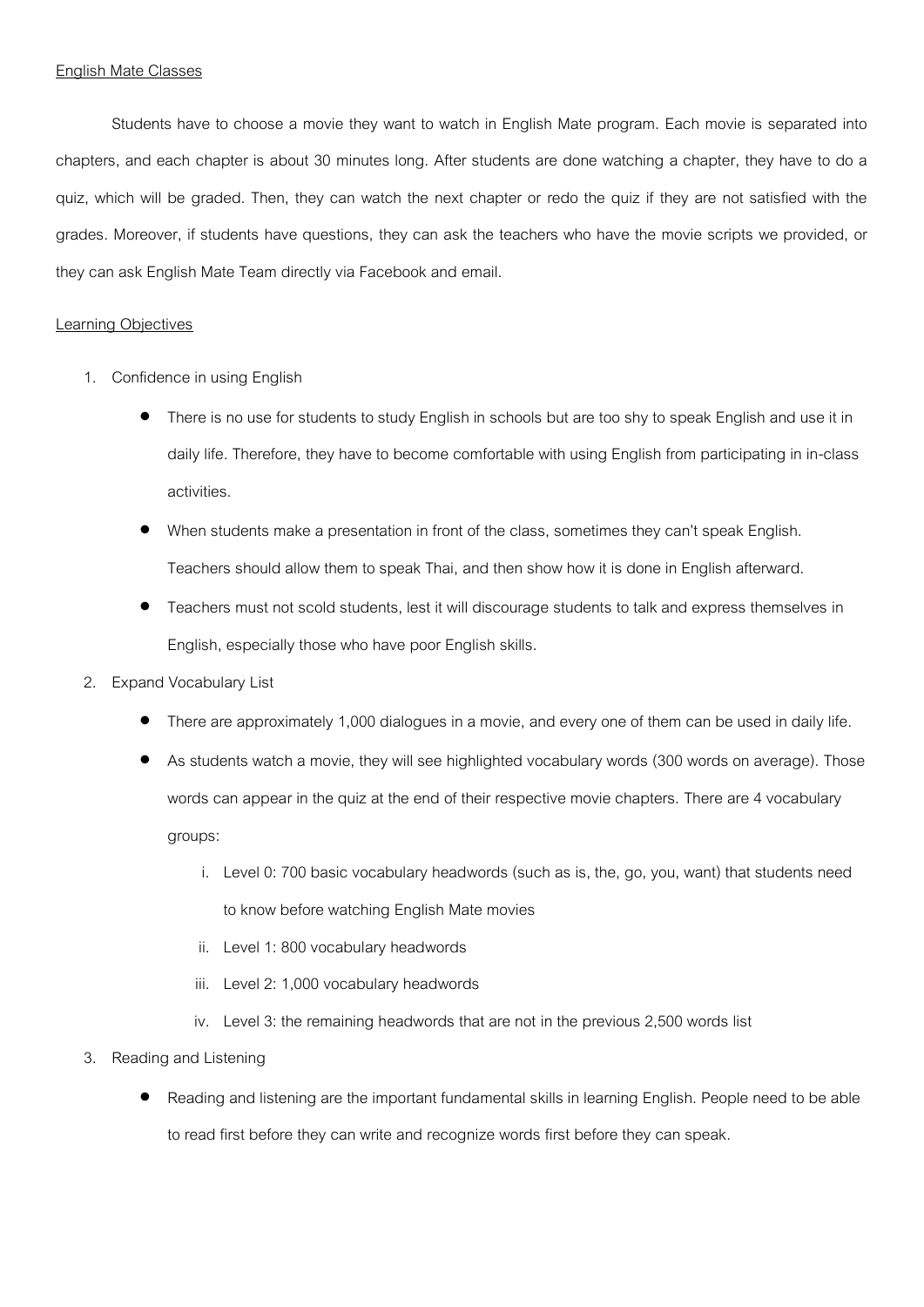#### English Mate Classes

Students have to choose a movie they want to watch in English Mate program. Each movie is separated into chapters, and each chapter is about 30 minutes long. After students are done watching a chapter, they have to do a quiz, which will be graded. Then, they can watch the next chapter or redo the quiz if they are not satisfied with the grades. Moreover, if students have questions, they can ask the teachers who have the movie scripts we provided, or they can ask English Mate Team directly via Facebook and email.

#### Learning Objectives

- 1. Confidence in using English
	- There is no use for students to study English in schools but are too shy to speak English and use it in daily life. Therefore, they have to become comfortable with using English from participating in in-class activities.
	- When students make a presentation in front of the class, sometimes they can't speak English. Teachers should allow them to speak Thai, and then show how it is done in English afterward.
	- Teachers must not scold students, lest it will discourage students to talk and express themselves in English, especially those who have poor English skills.
- 2. Expand Vocabulary List
	- There are approximately 1,000 dialogues in a movie, and every one of them can be used in daily life.
	- As students watch a movie, they will see highlighted vocabulary words (300 words on average). Those words can appear in the quiz at the end of their respective movie chapters. There are 4 vocabulary groups:
		- i. Level 0: 700 basic vocabulary headwords (such as is, the, go, you, want) that students need to know before watching English Mate movies
		- ii. Level 1: 800 vocabulary headwords
		- iii. Level 2: 1,000 vocabulary headwords
		- iv. Level 3: the remaining headwords that are not in the previous 2,500 words list
- 3. Reading and Listening
	- Reading and listening are the important fundamental skills in learning English. People need to be able to read first before they can write and recognize words first before they can speak.